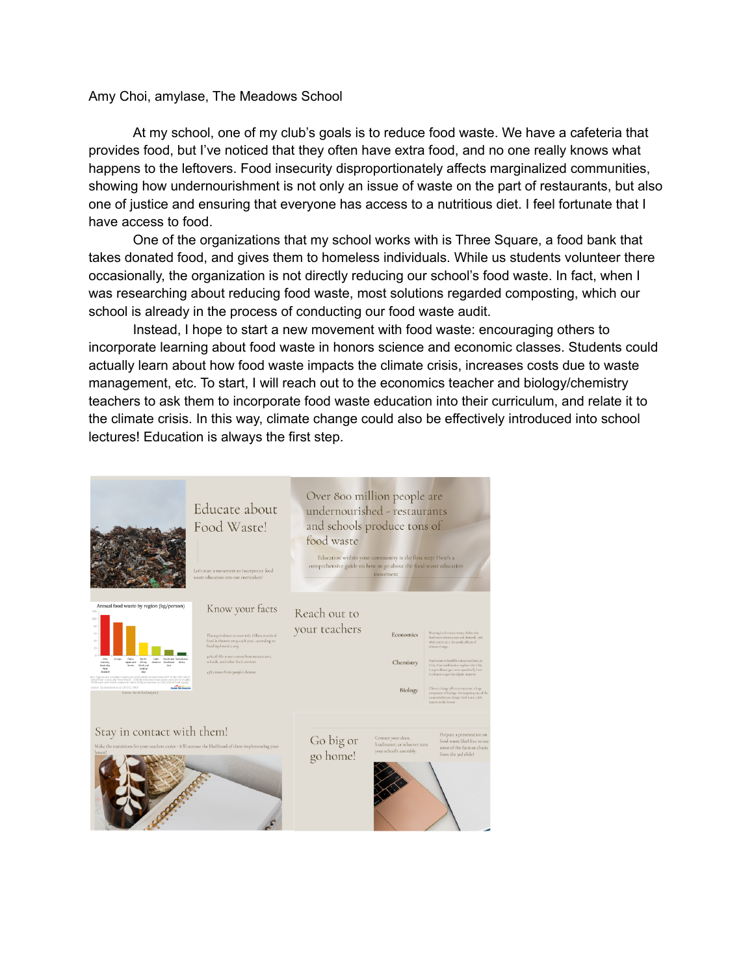## Amy Choi, amylase, The Meadows School

At my school, one of my club's goals is to reduce food waste. We have a cafeteria that provides food, but I've noticed that they often have extra food, and no one really knows what happens to the leftovers. Food insecurity disproportionately affects marginalized communities, showing how undernourishment is not only an issue of waste on the part of restaurants, but also one of justice and ensuring that everyone has access to a nutritious diet. I feel fortunate that I have access to food.

One of the organizations that my school works with is Three Square, a food bank that takes donated food, and gives them to homeless individuals. While us students volunteer there occasionally, the organization is not directly reducing our school's food waste. In fact, when I was researching about reducing food waste, most solutions regarded composting, which our school is already in the process of conducting our food waste audit.

Instead, I hope to start a new movement with food waste: encouraging others to incorporate learning about food waste in honors science and economic classes. Students could actually learn about how food waste impacts the climate crisis, increases costs due to waste management, etc. To start, I will reach out to the economics teacher and biology/chemistry teachers to ask them to incorporate food waste education into their curriculum, and relate it to the climate crisis. In this way, climate change could also be effectively introduced into school lectures! Education is always the first step.